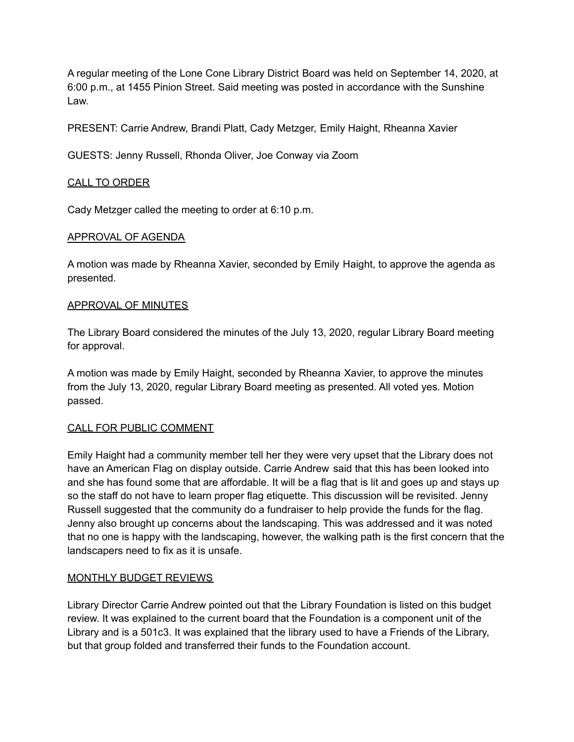A regular meeting of the Lone Cone Library District Board was held on September 14, 2020, at 6:00 p.m., at 1455 Pinion Street. Said meeting was posted in accordance with the Sunshine Law.

PRESENT: Carrie Andrew, Brandi Platt, Cady Metzger, Emily Haight, Rheanna Xavier

GUESTS: Jenny Russell, Rhonda Oliver, Joe Conway via Zoom

## CALL TO ORDER

Cady Metzger called the meeting to order at 6:10 p.m.

## APPROVAL OF AGENDA

A motion was made by Rheanna Xavier, seconded by Emily Haight, to approve the agenda as presented.

### APPROVAL OF MINUTES

The Library Board considered the minutes of the July 13, 2020, regular Library Board meeting for approval.

A motion was made by Emily Haight, seconded by Rheanna Xavier, to approve the minutes from the July 13, 2020, regular Library Board meeting as presented. All voted yes. Motion passed.

### CALL FOR PUBLIC COMMENT

Emily Haight had a community member tell her they were very upset that the Library does not have an American Flag on display outside. Carrie Andrew said that this has been looked into and she has found some that are affordable. It will be a flag that is lit and goes up and stays up so the staff do not have to learn proper flag etiquette. This discussion will be revisited. Jenny Russell suggested that the community do a fundraiser to help provide the funds for the flag. Jenny also brought up concerns about the landscaping. This was addressed and it was noted that no one is happy with the landscaping, however, the walking path is the first concern that the landscapers need to fix as it is unsafe.

### MONTHLY BUDGET REVIEWS

Library Director Carrie Andrew pointed out that the Library Foundation is listed on this budget review. It was explained to the current board that the Foundation is a component unit of the Library and is a 501c3. It was explained that the library used to have a Friends of the Library, but that group folded and transferred their funds to the Foundation account.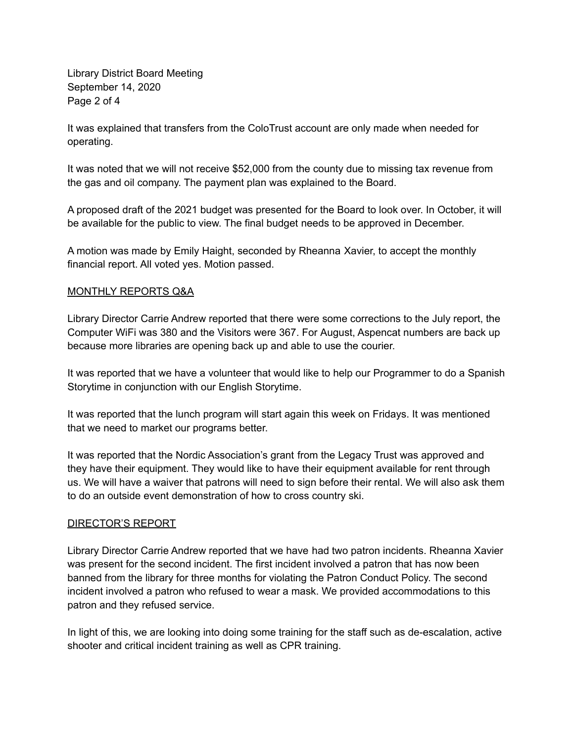Library District Board Meeting September 14, 2020 Page 2 of 4

It was explained that transfers from the ColoTrust account are only made when needed for operating.

It was noted that we will not receive \$52,000 from the county due to missing tax revenue from the gas and oil company. The payment plan was explained to the Board.

A proposed draft of the 2021 budget was presented for the Board to look over. In October, it will be available for the public to view. The final budget needs to be approved in December.

A motion was made by Emily Haight, seconded by Rheanna Xavier, to accept the monthly financial report. All voted yes. Motion passed.

### MONTHLY REPORTS Q&A

Library Director Carrie Andrew reported that there were some corrections to the July report, the Computer WiFi was 380 and the Visitors were 367. For August, Aspencat numbers are back up because more libraries are opening back up and able to use the courier.

It was reported that we have a volunteer that would like to help our Programmer to do a Spanish Storytime in conjunction with our English Storytime.

It was reported that the lunch program will start again this week on Fridays. It was mentioned that we need to market our programs better.

It was reported that the Nordic Association's grant from the Legacy Trust was approved and they have their equipment. They would like to have their equipment available for rent through us. We will have a waiver that patrons will need to sign before their rental. We will also ask them to do an outside event demonstration of how to cross country ski.

### DIRECTOR'S REPORT

Library Director Carrie Andrew reported that we have had two patron incidents. Rheanna Xavier was present for the second incident. The first incident involved a patron that has now been banned from the library for three months for violating the Patron Conduct Policy. The second incident involved a patron who refused to wear a mask. We provided accommodations to this patron and they refused service.

In light of this, we are looking into doing some training for the staff such as de-escalation, active shooter and critical incident training as well as CPR training.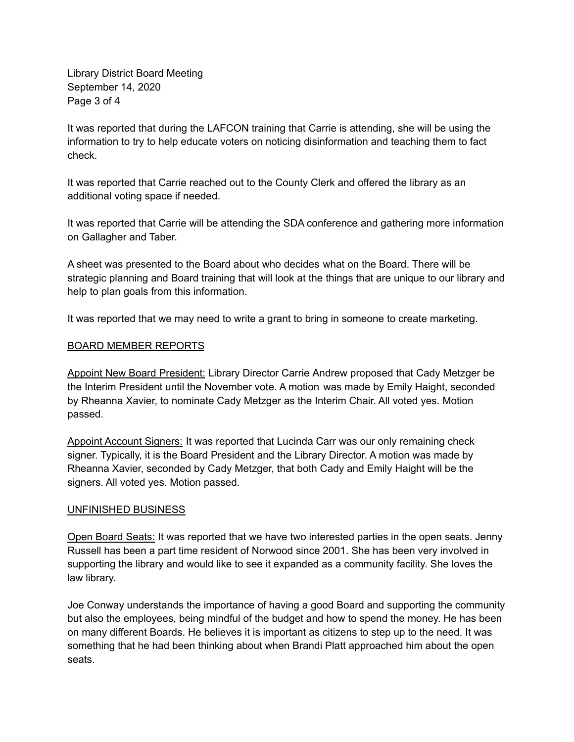Library District Board Meeting September 14, 2020 Page 3 of 4

It was reported that during the LAFCON training that Carrie is attending, she will be using the information to try to help educate voters on noticing disinformation and teaching them to fact check.

It was reported that Carrie reached out to the County Clerk and offered the library as an additional voting space if needed.

It was reported that Carrie will be attending the SDA conference and gathering more information on Gallagher and Taber.

A sheet was presented to the Board about who decides what on the Board. There will be strategic planning and Board training that will look at the things that are unique to our library and help to plan goals from this information.

It was reported that we may need to write a grant to bring in someone to create marketing.

### BOARD MEMBER REPORTS

Appoint New Board President: Library Director Carrie Andrew proposed that Cady Metzger be the Interim President until the November vote. A motion was made by Emily Haight, seconded by Rheanna Xavier, to nominate Cady Metzger as the Interim Chair. All voted yes. Motion passed.

Appoint Account Signers: It was reported that Lucinda Carr was our only remaining check signer. Typically, it is the Board President and the Library Director. A motion was made by Rheanna Xavier, seconded by Cady Metzger, that both Cady and Emily Haight will be the signers. All voted yes. Motion passed.

#### UNFINISHED BUSINESS

Open Board Seats: It was reported that we have two interested parties in the open seats. Jenny Russell has been a part time resident of Norwood since 2001. She has been very involved in supporting the library and would like to see it expanded as a community facility. She loves the law library.

Joe Conway understands the importance of having a good Board and supporting the community but also the employees, being mindful of the budget and how to spend the money. He has been on many different Boards. He believes it is important as citizens to step up to the need. It was something that he had been thinking about when Brandi Platt approached him about the open seats.